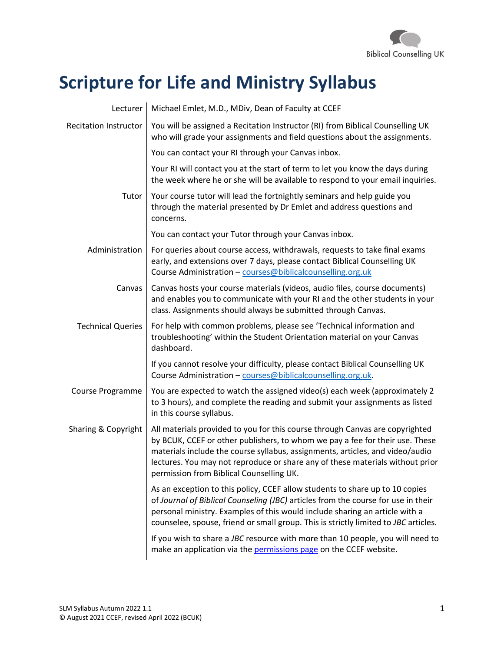

# **Scripture for Life and Ministry Syllabus**

| Lecturer                     | Michael Emlet, M.D., MDiv, Dean of Faculty at CCEF                                                                                                                                                                                                                                                                                                                         |  |  |  |
|------------------------------|----------------------------------------------------------------------------------------------------------------------------------------------------------------------------------------------------------------------------------------------------------------------------------------------------------------------------------------------------------------------------|--|--|--|
| <b>Recitation Instructor</b> | You will be assigned a Recitation Instructor (RI) from Biblical Counselling UK<br>who will grade your assignments and field questions about the assignments.                                                                                                                                                                                                               |  |  |  |
|                              | You can contact your RI through your Canvas inbox.                                                                                                                                                                                                                                                                                                                         |  |  |  |
|                              | Your RI will contact you at the start of term to let you know the days during<br>the week where he or she will be available to respond to your email inquiries.                                                                                                                                                                                                            |  |  |  |
| Tutor                        | Your course tutor will lead the fortnightly seminars and help guide you<br>through the material presented by Dr Emlet and address questions and<br>concerns.                                                                                                                                                                                                               |  |  |  |
|                              | You can contact your Tutor through your Canvas inbox.                                                                                                                                                                                                                                                                                                                      |  |  |  |
| Administration               | For queries about course access, withdrawals, requests to take final exams<br>early, and extensions over 7 days, please contact Biblical Counselling UK<br>Course Administration - courses@biblicalcounselling.org.uk                                                                                                                                                      |  |  |  |
| Canvas                       | Canvas hosts your course materials (videos, audio files, course documents)<br>and enables you to communicate with your RI and the other students in your<br>class. Assignments should always be submitted through Canvas.                                                                                                                                                  |  |  |  |
| <b>Technical Queries</b>     | For help with common problems, please see 'Technical information and<br>troubleshooting' within the Student Orientation material on your Canvas<br>dashboard.                                                                                                                                                                                                              |  |  |  |
|                              | If you cannot resolve your difficulty, please contact Biblical Counselling UK<br>Course Administration - courses@biblicalcounselling.org.uk.                                                                                                                                                                                                                               |  |  |  |
| Course Programme             | You are expected to watch the assigned video(s) each week (approximately 2<br>to 3 hours), and complete the reading and submit your assignments as listed<br>in this course syllabus.                                                                                                                                                                                      |  |  |  |
| Sharing & Copyright          | All materials provided to you for this course through Canvas are copyrighted<br>by BCUK, CCEF or other publishers, to whom we pay a fee for their use. These<br>materials include the course syllabus, assignments, articles, and video/audio<br>lectures. You may not reproduce or share any of these materials without prior<br>permission from Biblical Counselling UK. |  |  |  |
|                              | As an exception to this policy, CCEF allow students to share up to 10 copies<br>of Journal of Biblical Counseling (JBC) articles from the course for use in their<br>personal ministry. Examples of this would include sharing an article with a<br>counselee, spouse, friend or small group. This is strictly limited to JBC articles.                                    |  |  |  |
|                              | If you wish to share a JBC resource with more than 10 people, you will need to<br>make an application via the permissions page on the CCEF website.                                                                                                                                                                                                                        |  |  |  |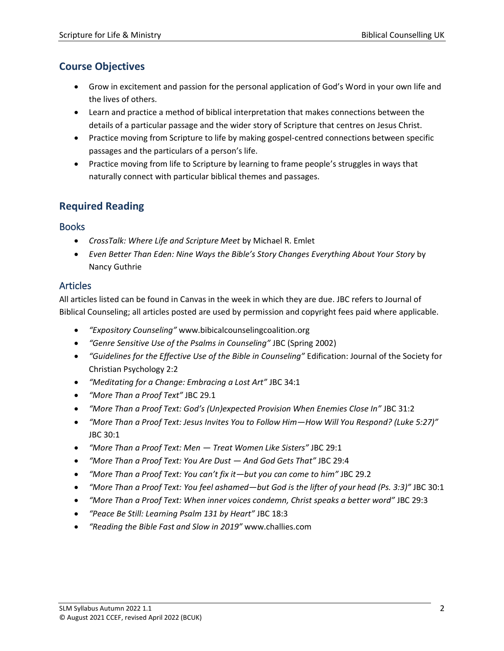# **Course Objectives**

- Grow in excitement and passion for the personal application of God's Word in your own life and the lives of others.
- Learn and practice a method of biblical interpretation that makes connections between the details of a particular passage and the wider story of Scripture that centres on Jesus Christ.
- Practice moving from Scripture to life by making gospel-centred connections between specific passages and the particulars of a person's life.
- Practice moving from life to Scripture by learning to frame people's struggles in ways that naturally connect with particular biblical themes and passages.

# **Required Reading**

#### Books

- *CrossTalk: Where Life and Scripture Meet* by Michael R. Emlet
- *Even Better Than Eden: Nine Ways the Bible's Story Changes Everything About Your Story* by Nancy Guthrie

#### Articles

All articles listed can be found in Canvas in the week in which they are due. JBC refers to Journal of Biblical Counseling; all articles posted are used by permission and copyright fees paid where applicable.

- *"Expository Counseling"* www.bibicalcounselingcoalition.org
- *"Genre Sensitive Use of the Psalms in Counseling"* JBC (Spring 2002)
- *"Guidelines for the Effective Use of the Bible in Counseling"* Edification: Journal of the Society for Christian Psychology 2:2
- *"Meditating for a Change: Embracing a Lost Art"* JBC 34:1
- *"More Than a Proof Text"* JBC 29.1
- *"More Than a Proof Text: God's (Un)expected Provision When Enemies Close In"* JBC 31:2
- *"More Than a Proof Text: Jesus Invites You to Follow Him—How Will You Respond? (Luke 5:27)"*  JBC 30:1
- *"More Than a Proof Text: Men — Treat Women Like Sisters"* JBC 29:1
- *"More Than a Proof Text: You Are Dust — And God Gets That"* JBC 29:4
- *"More Than a Proof Text: You can't fix it—but you can come to him"* JBC 29.2
- *"More Than a Proof Text: You feel ashamed—but God is the lifter of your head (Ps. 3:3)"* JBC 30:1
- *"More Than a Proof Text: When inner voices condemn, Christ speaks a better word"* JBC 29:3
- *"Peace Be Still: Learning Psalm 131 by Heart"* JBC 18:3
- *"Reading the Bible Fast and Slow in 2019"* [www.challies.com](http://www.challies.com/)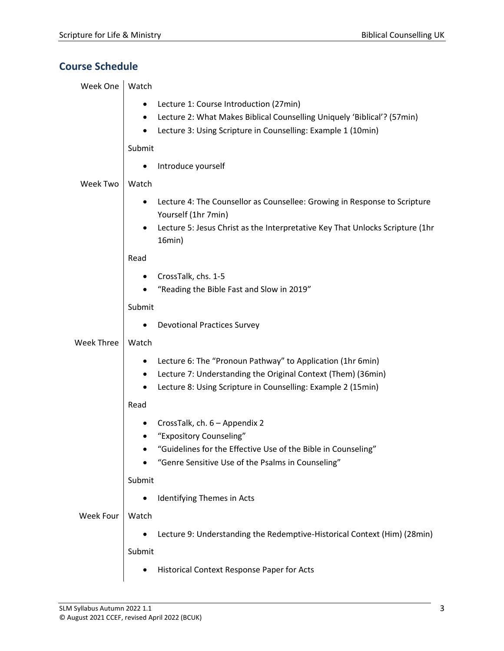# **Course Schedule**

| Week One          | Watch                                                                                                             |
|-------------------|-------------------------------------------------------------------------------------------------------------------|
|                   | Lecture 1: Course Introduction (27min)                                                                            |
|                   | Lecture 2: What Makes Biblical Counselling Uniquely 'Biblical'? (57min)<br>$\bullet$                              |
|                   | Lecture 3: Using Scripture in Counselling: Example 1 (10min)                                                      |
|                   | Submit                                                                                                            |
|                   | Introduce yourself                                                                                                |
| <b>Week Two</b>   | Watch                                                                                                             |
|                   | Lecture 4: The Counsellor as Counsellee: Growing in Response to Scripture                                         |
|                   | Yourself (1hr 7min)                                                                                               |
|                   | Lecture 5: Jesus Christ as the Interpretative Key That Unlocks Scripture (1hr<br>16min)                           |
|                   | Read                                                                                                              |
|                   | CrossTalk, chs. 1-5                                                                                               |
|                   | "Reading the Bible Fast and Slow in 2019"                                                                         |
|                   | Submit                                                                                                            |
|                   | <b>Devotional Practices Survey</b>                                                                                |
| <b>Week Three</b> | Watch                                                                                                             |
|                   | Lecture 6: The "Pronoun Pathway" to Application (1hr 6min)                                                        |
|                   | Lecture 7: Understanding the Original Context (Them) (36min)                                                      |
|                   | Lecture 8: Using Scripture in Counselling: Example 2 (15min)                                                      |
|                   | Read                                                                                                              |
|                   | CrossTalk, ch. 6 - Appendix 2                                                                                     |
|                   | "Expository Counseling"                                                                                           |
|                   | "Guidelines for the Effective Use of the Bible in Counseling<br>"Genre Sensitive Use of the Psalms in Counseling" |
|                   | Submit                                                                                                            |
|                   | Identifying Themes in Acts                                                                                        |
| <b>Week Four</b>  | Watch                                                                                                             |
|                   |                                                                                                                   |
|                   | Lecture 9: Understanding the Redemptive-Historical Context (Him) (28min)                                          |
|                   | Submit                                                                                                            |
|                   | Historical Context Response Paper for Acts                                                                        |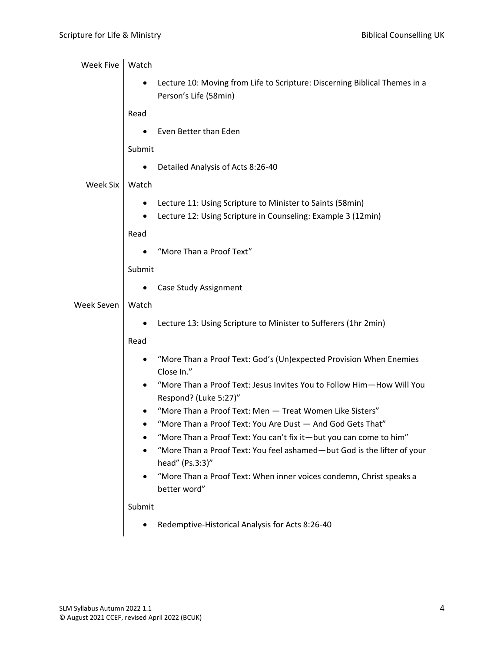| <b>Week Five</b> | Watch  |                                                                                                                                               |  |  |  |
|------------------|--------|-----------------------------------------------------------------------------------------------------------------------------------------------|--|--|--|
|                  |        | Lecture 10: Moving from Life to Scripture: Discerning Biblical Themes in a<br>Person's Life (58min)                                           |  |  |  |
|                  | Read   |                                                                                                                                               |  |  |  |
|                  |        | Even Better than Eden                                                                                                                         |  |  |  |
|                  | Submit |                                                                                                                                               |  |  |  |
|                  |        | Detailed Analysis of Acts 8:26-40                                                                                                             |  |  |  |
| Week Six         | Watch  |                                                                                                                                               |  |  |  |
|                  |        | Lecture 11: Using Scripture to Minister to Saints (58min)<br>Lecture 12: Using Scripture in Counseling: Example 3 (12min)                     |  |  |  |
|                  | Read   |                                                                                                                                               |  |  |  |
|                  |        | "More Than a Proof Text"                                                                                                                      |  |  |  |
|                  | Submit |                                                                                                                                               |  |  |  |
|                  |        | Case Study Assignment                                                                                                                         |  |  |  |
| Week Seven       | Watch  |                                                                                                                                               |  |  |  |
|                  |        | Lecture 13: Using Scripture to Minister to Sufferers (1hr 2min)                                                                               |  |  |  |
|                  | Read   |                                                                                                                                               |  |  |  |
|                  |        | "More Than a Proof Text: God's (Un)expected Provision When Enemies<br>Close In."                                                              |  |  |  |
|                  |        | "More Than a Proof Text: Jesus Invites You to Follow Him-How Will You<br>Respond? (Luke 5:27)"                                                |  |  |  |
|                  |        | "More Than a Proof Text: Men - Treat Women Like Sisters"                                                                                      |  |  |  |
|                  |        | "More Than a Proof Text: You Are Dust - And God Gets That"                                                                                    |  |  |  |
|                  |        | "More Than a Proof Text: You can't fix it-but you can come to him"<br>"More Than a Proof Text: You feel ashamed-but God is the lifter of your |  |  |  |
|                  |        | head" (Ps.3:3)"<br>"More Than a Proof Text: When inner voices condemn, Christ speaks a<br>better word"                                        |  |  |  |
|                  | Submit |                                                                                                                                               |  |  |  |
|                  |        | Redemptive-Historical Analysis for Acts 8:26-40                                                                                               |  |  |  |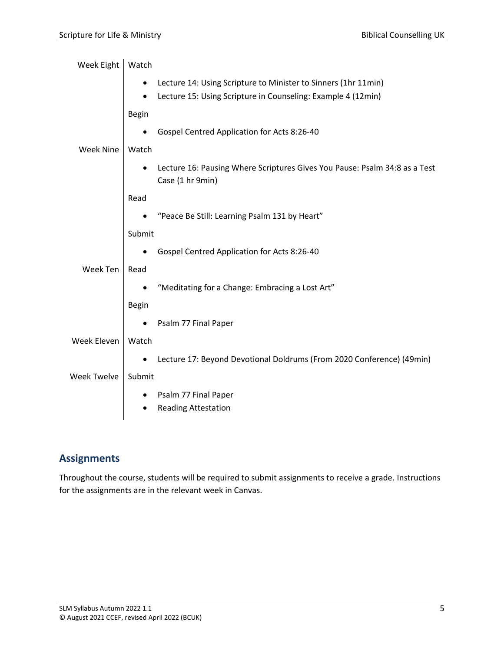| Week Eight       | Watch                                                                                          |
|------------------|------------------------------------------------------------------------------------------------|
|                  | Lecture 14: Using Scripture to Minister to Sinners (1hr 11min)                                 |
|                  | Lecture 15: Using Scripture in Counseling: Example 4 (12min)                                   |
|                  | <b>Begin</b>                                                                                   |
|                  | Gospel Centred Application for Acts 8:26-40                                                    |
| <b>Week Nine</b> | Watch                                                                                          |
|                  | Lecture 16: Pausing Where Scriptures Gives You Pause: Psalm 34:8 as a Test<br>Case (1 hr 9min) |
|                  | Read                                                                                           |
|                  | "Peace Be Still: Learning Psalm 131 by Heart"                                                  |
|                  | Submit                                                                                         |
|                  | Gospel Centred Application for Acts 8:26-40                                                    |
| Week Ten         | Read                                                                                           |
|                  | "Meditating for a Change: Embracing a Lost Art"                                                |
|                  | <b>Begin</b>                                                                                   |
|                  | Psalm 77 Final Paper                                                                           |
| Week Eleven      | Watch                                                                                          |
|                  | Lecture 17: Beyond Devotional Doldrums (From 2020 Conference) (49min)                          |
| Week Twelve      | Submit                                                                                         |
|                  | Psalm 77 Final Paper<br>٠                                                                      |
|                  | <b>Reading Attestation</b>                                                                     |

# **Assignments**

Throughout the course, students will be required to submit assignments to receive a grade. Instructions for the assignments are in the relevant week in Canvas.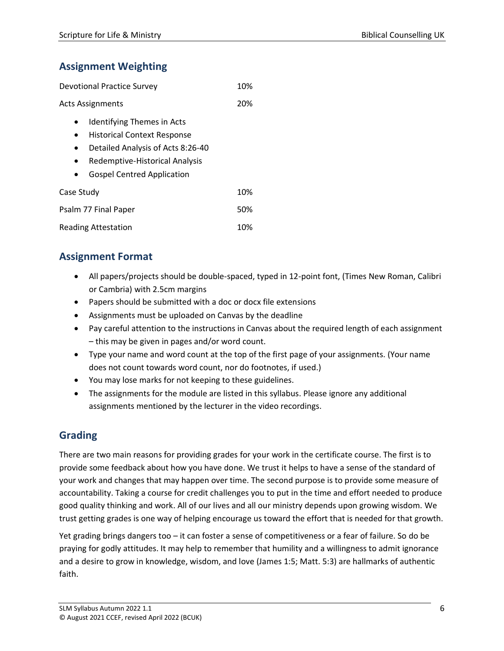# **Assignment Weighting**

| <b>Devotional Practice Survey</b>                                                                                                                                                   |  |
|-------------------------------------------------------------------------------------------------------------------------------------------------------------------------------------|--|
| <b>Acts Assignments</b>                                                                                                                                                             |  |
| <b>Identifying Themes in Acts</b><br><b>Historical Context Response</b><br>Detailed Analysis of Acts 8:26-40<br>Redemptive-Historical Analysis<br><b>Gospel Centred Application</b> |  |
| Case Study                                                                                                                                                                          |  |
| Psalm 77 Final Paper                                                                                                                                                                |  |

#### Reading Attestation 10%

# **Assignment Format**

- All papers/projects should be double-spaced, typed in 12-point font, (Times New Roman, Calibri or Cambria) with 2.5cm margins
- Papers should be submitted with a doc or docx file extensions
- Assignments must be uploaded on Canvas by the deadline
- Pay careful attention to the instructions in Canvas about the required length of each assignment – this may be given in pages and/or word count.
- Type your name and word count at the top of the first page of your assignments. (Your name does not count towards word count, nor do footnotes, if used.)
- You may lose marks for not keeping to these guidelines.
- The assignments for the module are listed in this syllabus. Please ignore any additional assignments mentioned by the lecturer in the video recordings.

# **Grading**

There are two main reasons for providing grades for your work in the certificate course. The first is to provide some feedback about how you have done. We trust it helps to have a sense of the standard of your work and changes that may happen over time. The second purpose is to provide some measure of accountability. Taking a course for credit challenges you to put in the time and effort needed to produce good quality thinking and work. All of our lives and all our ministry depends upon growing wisdom. We trust getting grades is one way of helping encourage us toward the effort that is needed for that growth.

Yet grading brings dangers too – it can foster a sense of competitiveness or a fear of failure. So do be praying for godly attitudes. It may help to remember that humility and a willingness to admit ignorance and a desire to grow in knowledge, wisdom, and love (James 1:5; Matt. 5:3) are hallmarks of authentic faith.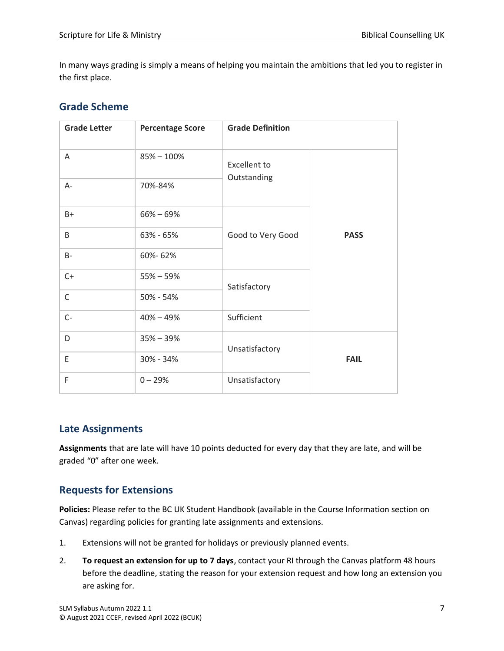In many ways grading is simply a means of helping you maintain the ambitions that led you to register in the first place.

### **Grade Scheme**

| <b>Grade Letter</b> | <b>Percentage Score</b> | <b>Grade Definition</b>     |             |
|---------------------|-------------------------|-----------------------------|-------------|
| A                   | $85\% - 100\%$          | Excellent to<br>Outstanding | <b>PASS</b> |
| $A -$               | 70%-84%                 |                             |             |
| B+                  | $66\% - 69\%$           | Good to Very Good           |             |
| B                   | 63% - 65%               |                             |             |
| <b>B-</b>           | 60%-62%                 |                             |             |
| $C+$                | $55\% - 59\%$           | Satisfactory                |             |
| $\mathsf C$         | 50% - 54%               |                             |             |
| $C -$               | $40\% - 49\%$           | Sufficient                  |             |
| D                   | $35\% - 39\%$           | Unsatisfactory              |             |
| E                   | 30% - 34%               |                             | <b>FAIL</b> |
| F                   | $0 - 29%$               | Unsatisfactory              |             |

#### **Late Assignments**

**Assignments** that are late will have 10 points deducted for every day that they are late, and will be graded "0" after one week.

# **Requests for Extensions**

**Policies:** Please refer to the BC UK Student Handbook (available in the Course Information section on Canvas) regarding policies for granting late assignments and extensions.

- 1. Extensions will not be granted for holidays or previously planned events.
- 2. **To request an extension for up to 7 days**, contact your RI through the Canvas platform 48 hours before the deadline, stating the reason for your extension request and how long an extension you are asking for.